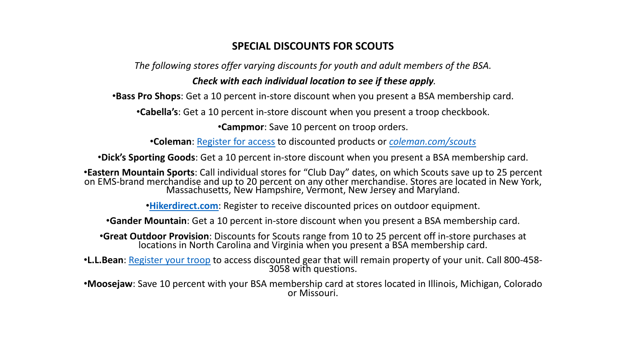## **SPECIAL DISCOUNTS FOR SCOUTS**

*The following stores offer varying discounts for youth and adult* 

## *Check with each individual location to see if the.*

**•Ba[ss Pro Shops](http://bit.ly/llbeandiscount):** Get a 10 percent in-store discount when you prese

**•Cabella's**: Get a 10 percent in-store discount when you present

**•Campmor:** Save 10 percent on troop orde

•**Coleman:** Register for access to discounted products or *co* 

•**Dick's Sporting Goods**: Get a 10 percent in-store discount when you pr

•**Eastern Mountain Sports**: Call individual stores for "Club Day" dates, on w on EMS-brand merchandise and up to 20 percent on any other merchandis<br>Massachusetts, New Hampshire, Vermont, New Jersey

**•Hikerdirect.com**: Register to receive discounted prices on o

**•Gander Mountain**: Get a 10 percent in-store discount when you pres

**•Great Outdoor Provision**: Discounts for Scouts range from 10 to 25 pe<br>locations in North Carolina and Virginia when you present a B

•**L.L.Bean**: Register your troop to access discounted gear that will remain p<br>3058 with questions.

•**Moosejaw**: Save 10 percent with your BSA membership card at stores located in Illinois, Michigan, Michigan, Colora or Missouri.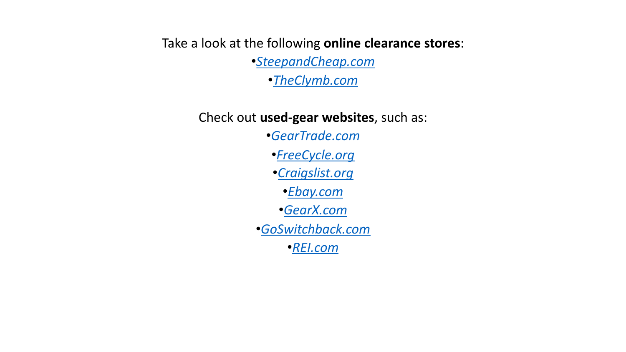## Take a look at the fo[llowing](http://gearx.com/) online cleara

•*[SteepandCheap.com](http://goswitchback.com/)*

•*Th[eClymb.c](http://goswitchback.com/)om*

Check out **used-gear websites**, such

•*GearTrade.com* •*FreeCycle.org* •*Craigslist.org* •*Ebay.com* •*GearX.com* •*GoSwitchback.com* •*REI.com*